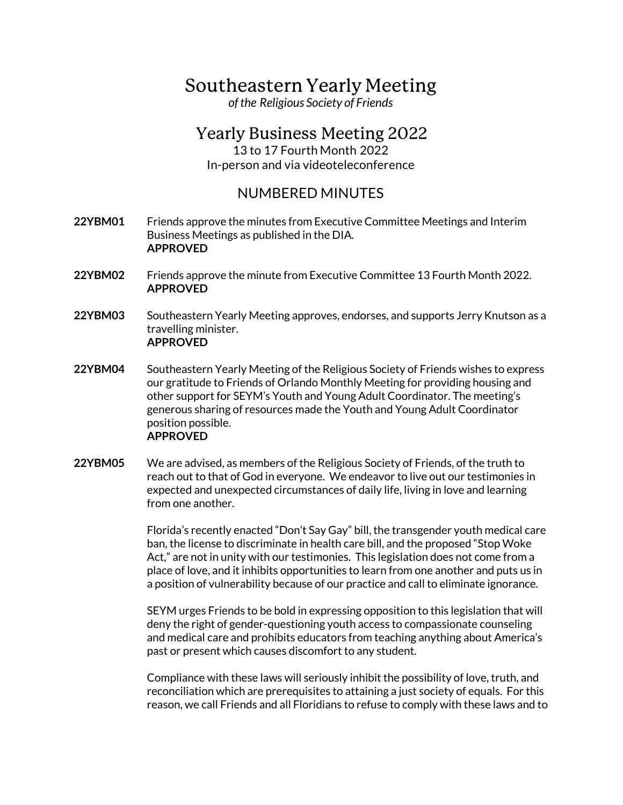## Southeastern Yearly Meeting

*ofthe Religious Society of Friends*

## Yearly Business Meeting 2022

13 to 17 Fourth Month 2022 In-person and via videoteleconference

## NUMBERED MINUTES

- **22YBM01** Friends approve the minutes from Executive Committee Meetings and Interim Business Meetings as published in the DIA. **APPROVED**
- **22YBM02** Friends approve the minute from Executive Committee 13 Fourth Month 2022. **APPROVED**
- **22YBM03** Southeastern Yearly Meeting approves, endorses, and supports Jerry Knutson as a travelling minister. **APPROVED**
- **22YBM04** Southeastern Yearly Meeting of the Religious Society of Friends wishes to express our gratitude to Friends of Orlando Monthly Meeting for providing housing and other support for SEYM's Youth and Young Adult Coordinator. The meeting's generous sharing of resources made the Youth and Young Adult Coordinator position possible. **APPROVED**
- **22YBM05** We are advised, as members of the Religious Society of Friends, of the truth to reach out to that of God in everyone. We endeavor to live out our testimonies in expected and unexpected circumstances of daily life, living in love and learning from one another.

Florida's recently enacted "Don't Say Gay" bill, the transgender youth medical care ban, the license to discriminate in health care bill, and the proposed "Stop Woke Act," are not in unity with our testimonies. This legislation does not come from a place of love, and it inhibits opportunities to learn from one another and puts us in a position of vulnerability because of our practice and call to eliminate ignorance.

SEYM urges Friends to be bold in expressing opposition to this legislation that will deny the right of gender-questioning youth access to compassionate counseling and medical care and prohibits educators from teaching anything about America's past or present which causes discomfort to any student.

Compliance with these laws will seriously inhibit the possibility of love, truth, and reconciliation which are prerequisites to attaining a just society of equals. For this reason, we call Friends and all Floridians to refuse to comply with these laws and to